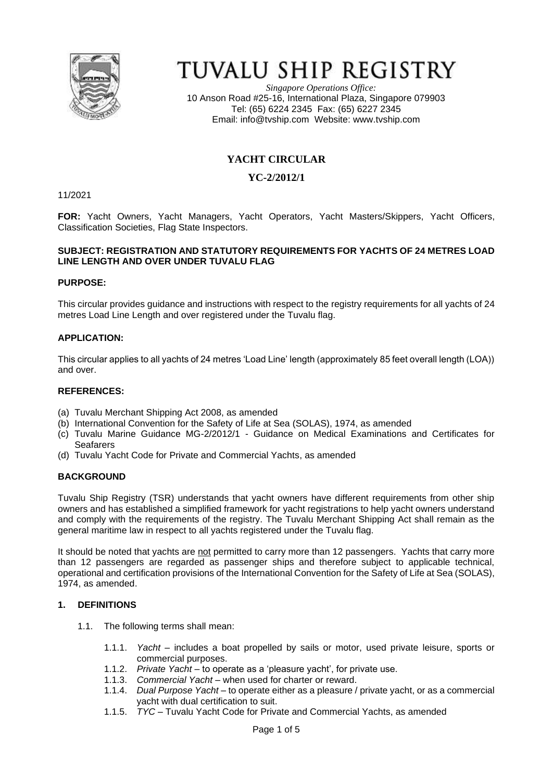

# TUVALU SHIP REGISTRY

*Singapore Operations Office:* 10 Anson Road #25-16, International Plaza, Singapore 079903 Tel: (65) 6224 2345 Fax: (65) 6227 2345 Email: [info@tvship.com](mailto:info@tvship.com) Website: [www.tvship.com](http://www.tvship.com/)

## **YACHT CIRCULAR**

## **YC-2/2012/1**

11/2021

**FOR:** Yacht Owners, Yacht Managers, Yacht Operators, Yacht Masters/Skippers, Yacht Officers, Classification Societies, Flag State Inspectors.

#### **SUBJECT: REGISTRATION AND STATUTORY REQUIREMENTS FOR YACHTS OF 24 METRES LOAD LINE LENGTH AND OVER UNDER TUVALU FLAG**

#### **PURPOSE:**

This circular provides guidance and instructions with respect to the registry requirements for all yachts of 24 metres Load Line Length and over registered under the Tuvalu flag.

#### **APPLICATION:**

This circular applies to all yachts of 24 metres 'Load Line' length (approximately 85 feet overall length (LOA)) and over.

#### **REFERENCES:**

- (a) Tuvalu Merchant Shipping Act 2008, as amended
- (b) International Convention for the Safety of Life at Sea (SOLAS), 1974, as amended
- (c) Tuvalu Marine Guidance MG-2/2012/1 Guidance on Medical Examinations and Certificates for Seafarers
- (d) Tuvalu Yacht Code for Private and Commercial Yachts, as amended

#### **BACKGROUND**

Tuvalu Ship Registry (TSR) understands that yacht owners have different requirements from other ship owners and has established a simplified framework for yacht registrations to help yacht owners understand and comply with the requirements of the registry. The Tuvalu Merchant Shipping Act shall remain as the general maritime law in respect to all yachts registered under the Tuvalu flag.

It should be noted that yachts are not permitted to carry more than 12 passengers. Yachts that carry more than 12 passengers are regarded as passenger ships and therefore subject to applicable technical, operational and certification provisions of the International Convention for the Safety of Life at Sea (SOLAS), 1974, as amended.

#### **1. DEFINITIONS**

- 1.1. The following terms shall mean:
	- 1.1.1. *Yacht –* includes a boat propelled by sails or motor, used private leisure, sports or commercial purposes.
	- 1.1.2. *Private Yacht –* to operate as a 'pleasure yacht', for private use.
	- 1.1.3. *Commercial Yacht –* when used for charter or reward.
	- 1.1.4. *Dual Purpose Yacht –* to operate either as a pleasure / private yacht, or as a commercial yacht with dual certification to suit.
	- 1.1.5. *TYC –* Tuvalu Yacht Code for Private and Commercial Yachts, as amended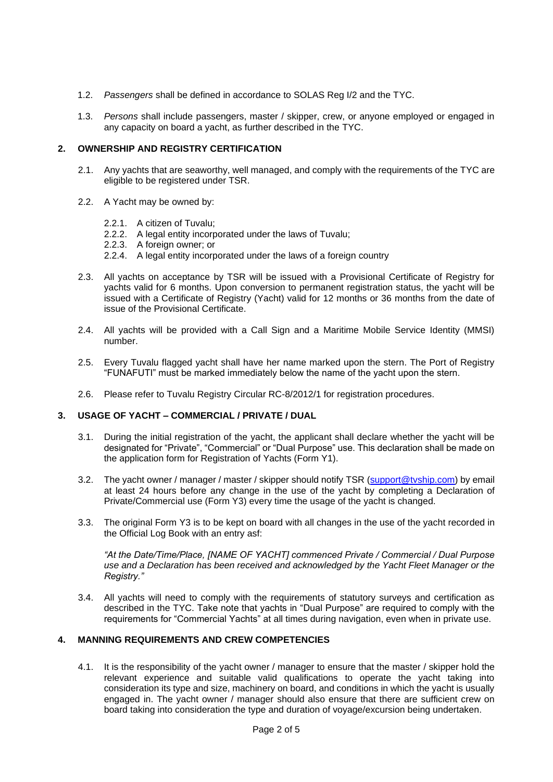- 1.2. *Passengers* shall be defined in accordance to SOLAS Reg I/2 and the TYC.
- 1.3. *Persons* shall include passengers, master / skipper, crew, or anyone employed or engaged in any capacity on board a yacht, as further described in the TYC.

#### **2. OWNERSHIP AND REGISTRY CERTIFICATION**

- 2.1. Any yachts that are seaworthy, well managed, and comply with the requirements of the TYC are eligible to be registered under TSR.
- 2.2. A Yacht may be owned by:
	- 2.2.1. A citizen of Tuvalu;
	- 2.2.2. A legal entity incorporated under the laws of Tuvalu;
	- 2.2.3. A foreign owner; or
	- 2.2.4. A legal entity incorporated under the laws of a foreign country
- 2.3. All yachts on acceptance by TSR will be issued with a Provisional Certificate of Registry for yachts valid for 6 months. Upon conversion to permanent registration status, the yacht will be issued with a Certificate of Registry (Yacht) valid for 12 months or 36 months from the date of issue of the Provisional Certificate.
- 2.4. All yachts will be provided with a Call Sign and a Maritime Mobile Service Identity (MMSI) number.
- 2.5. Every Tuvalu flagged yacht shall have her name marked upon the stern. The Port of Registry "FUNAFUTI" must be marked immediately below the name of the yacht upon the stern.
- 2.6. Please refer to Tuvalu Registry Circular RC-8/2012/1 for registration procedures.

#### **3. USAGE OF YACHT – COMMERCIAL / PRIVATE / DUAL**

- 3.1. During the initial registration of the yacht, the applicant shall declare whether the yacht will be designated for "Private", "Commercial" or "Dual Purpose" use. This declaration shall be made on the application form for Registration of Yachts (Form Y1).
- 3.2. The yacht owner / manager / master / skipper should notify TSR [\(support@tvship.com\)](mailto:support@tvship.com) by email at least 24 hours before any change in the use of the yacht by completing a Declaration of Private/Commercial use (Form Y3) every time the usage of the yacht is changed.
- 3.3. The original Form Y3 is to be kept on board with all changes in the use of the yacht recorded in the Official Log Book with an entry asf:

*"At the Date/Time/Place, [NAME OF YACHT] commenced Private / Commercial / Dual Purpose use and a Declaration has been received and acknowledged by the Yacht Fleet Manager or the Registry."*

3.4. All yachts will need to comply with the requirements of statutory surveys and certification as described in the TYC. Take note that yachts in "Dual Purpose" are required to comply with the requirements for "Commercial Yachts" at all times during navigation, even when in private use.

#### **4. MANNING REQUIREMENTS AND CREW COMPETENCIES**

4.1. It is the responsibility of the yacht owner / manager to ensure that the master / skipper hold the relevant experience and suitable valid qualifications to operate the yacht taking into consideration its type and size, machinery on board, and conditions in which the yacht is usually engaged in. The yacht owner / manager should also ensure that there are sufficient crew on board taking into consideration the type and duration of voyage/excursion being undertaken.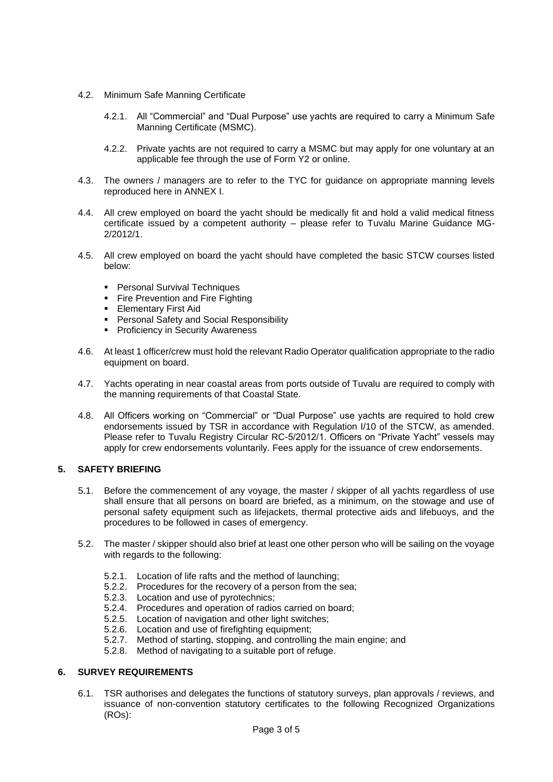- 4.2. Minimum Safe Manning Certificate
	- 4.2.1. All "Commercial" and "Dual Purpose" use yachts are required to carry a Minimum Safe Manning Certificate (MSMC).
	- 4.2.2. Private yachts are not required to carry a MSMC but may apply for one voluntary at an applicable fee through the use of Form Y2 or online.
- 4.3. The owners / managers are to refer to the TYC for guidance on appropriate manning levels reproduced here in ANNEX I.
- 4.4. All crew employed on board the yacht should be medically fit and hold a valid medical fitness certificate issued by a competent authority – please refer to Tuvalu Marine Guidance MG-2/2012/1.
- 4.5. All crew employed on board the yacht should have completed the basic STCW courses listed below:
	- Personal Survival Techniques
	- **Fire Prevention and Fire Fighting**
	- **Elementary First Aid**
	- Personal Safety and Social Responsibility
	- Proficiency in Security Awareness
- 4.6. At least 1 officer/crew must hold the relevant Radio Operator qualification appropriate to the radio equipment on board.
- 4.7. Yachts operating in near coastal areas from ports outside of Tuvalu are required to comply with the manning requirements of that Coastal State.
- 4.8. All Officers working on "Commercial" or "Dual Purpose" use yachts are required to hold crew endorsements issued by TSR in accordance with Regulation I/10 of the STCW, as amended. Please refer to Tuvalu Registry Circular RC-5/2012/1. Officers on "Private Yacht" vessels may apply for crew endorsements voluntarily. Fees apply for the issuance of crew endorsements.

#### **5. SAFETY BRIEFING**

- 5.1. Before the commencement of any voyage, the master / skipper of all yachts regardless of use shall ensure that all persons on board are briefed, as a minimum, on the stowage and use of personal safety equipment such as lifejackets, thermal protective aids and lifebuoys, and the procedures to be followed in cases of emergency.
- 5.2. The master / skipper should also brief at least one other person who will be sailing on the voyage with regards to the following:
	- 5.2.1. Location of life rafts and the method of launching;
	- 5.2.2. Procedures for the recovery of a person from the sea;
	- 5.2.3. Location and use of pyrotechnics;
	- 5.2.4. Procedures and operation of radios carried on board;
	- 5.2.5. Location of navigation and other light switches;
	- 5.2.6. Location and use of firefighting equipment;
	- 5.2.7. Method of starting, stopping, and controlling the main engine; and
	- 5.2.8. Method of navigating to a suitable port of refuge.

## **6. SURVEY REQUIREMENTS**

6.1. TSR authorises and delegates the functions of statutory surveys, plan approvals / reviews, and issuance of non-convention statutory certificates to the following Recognized Organizations (ROs):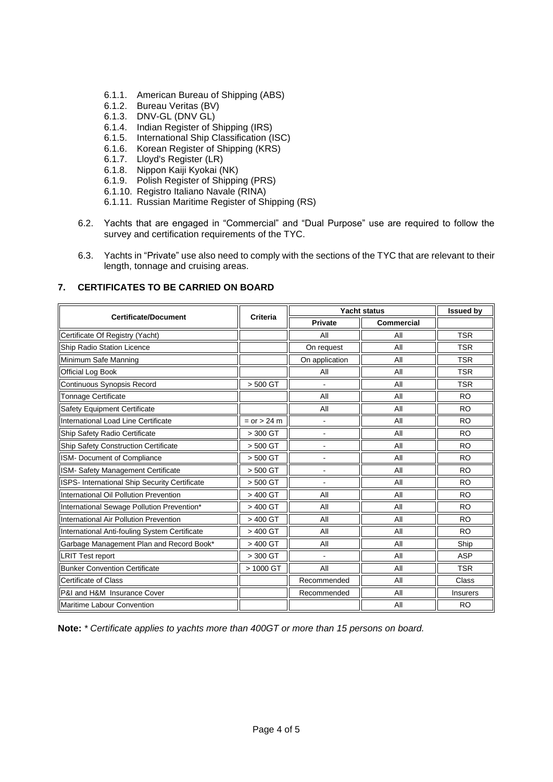- 6.1.1. American Bureau of Shipping (ABS)
- 6.1.2. Bureau Veritas (BV)
- 6.1.3. DNV-GL (DNV GL)
- 6.1.4. Indian Register of Shipping (IRS)
- 6.1.5. International Ship Classification (ISC)
- 6.1.6. Korean Register of Shipping (KRS)
- 6.1.7. Lloyd's Register (LR)
- 6.1.8. Nippon Kaiji Kyokai (NK)
- 6.1.9. Polish Register of Shipping (PRS)
- 6.1.10. Registro Italiano Navale (RINA)
- 6.1.11. Russian Maritime Register of Shipping (RS)
- 6.2. Yachts that are engaged in "Commercial" and "Dual Purpose" use are required to follow the survey and certification requirements of the TYC.
- 6.3. Yachts in "Private" use also need to comply with the sections of the TYC that are relevant to their length, tonnage and cruising areas.

## **7. CERTIFICATES TO BE CARRIED ON BOARD**

| <b>Certificate/Document</b>                   | <b>Criteria</b> | <b>Yacht status</b> |            | <b>Issued by</b> |
|-----------------------------------------------|-----------------|---------------------|------------|------------------|
|                                               |                 | <b>Private</b>      | Commercial |                  |
| Certificate Of Registry (Yacht)               |                 | All                 | All        | <b>TSR</b>       |
| Ship Radio Station Licence                    |                 | On request          | All        | <b>TSR</b>       |
| Minimum Safe Manning                          |                 | On application      | All        | <b>TSR</b>       |
| Official Log Book                             |                 | All                 | All        | <b>TSR</b>       |
| Continuous Synopsis Record                    | > 500 GT        |                     | All        | <b>TSR</b>       |
| Tonnage Certificate                           |                 | All                 | All        | <b>RO</b>        |
| Safety Equipment Certificate                  |                 | All                 | All        | <b>RO</b>        |
| International Load Line Certificate           | $= or > 24 m$   |                     | All        | <b>RO</b>        |
| Ship Safety Radio Certificate                 | > 300 GT        |                     | All        | <b>RO</b>        |
| Ship Safety Construction Certificate          | $> 500$ GT      |                     | All        | <b>RO</b>        |
| ISM- Document of Compliance                   | > 500 GT        |                     | All        | <b>RO</b>        |
| ISM- Safety Management Certificate            | $> 500$ GT      | ä,                  | All        | <b>RO</b>        |
| ISPS- International Ship Security Certificate | $> 500$ GT      |                     | All        | <b>RO</b>        |
| International Oil Pollution Prevention        | > 400 GT        | All                 | All        | <b>RO</b>        |
| International Sewage Pollution Prevention*    | > 400 GT        | All                 | All        | <b>RO</b>        |
| International Air Pollution Prevention        | > 400 GT        | All                 | All        | <b>RO</b>        |
| International Anti-fouling System Certificate | > 400 GT        | All                 | All        | <b>RO</b>        |
| Garbage Management Plan and Record Book*      | > 400 GT        | All                 | All        | Ship             |
| <b>LRIT Test report</b>                       | > 300 GT        |                     | All        | <b>ASP</b>       |
| <b>Bunker Convention Certificate</b>          | > 1000 GT       | All                 | All        | <b>TSR</b>       |
| Certificate of Class                          |                 | Recommended         | All        | Class            |
| <b>P&amp;I and H&amp;M Insurance Cover</b>    |                 | Recommended         | All        | Insurers         |
| Maritime Labour Convention                    |                 |                     | All        | <b>RO</b>        |

**Note:** *\* Certificate applies to yachts more than 400GT or more than 15 persons on board.*